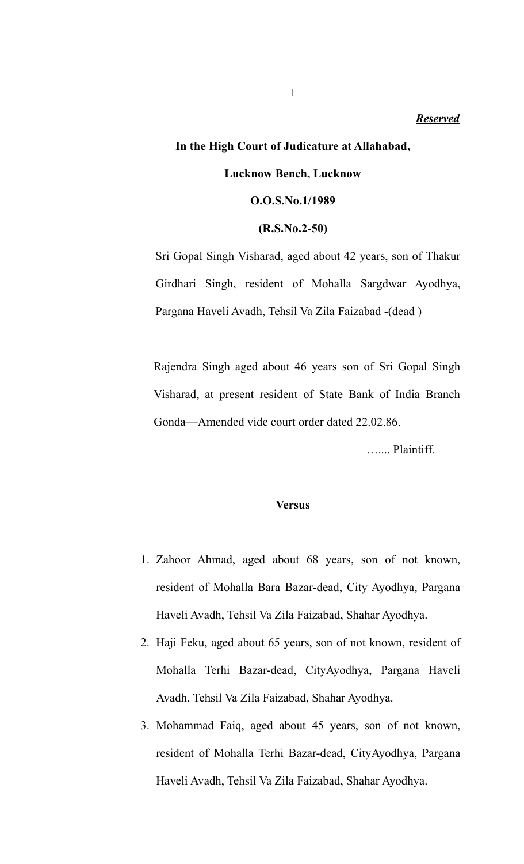## **In the High Court of Judicature at Allahabad,**

#### **Lucknow Bench, Lucknow**

#### **O.O.S.No.1/1989**

#### **(R.S.No.2-50)**

Sri Gopal Singh Visharad, aged about 42 years, son of Thakur Girdhari Singh, resident of Mohalla Sargdwar Ayodhya, Pargana Haveli Avadh, Tehsil Va Zila Faizabad -(dead )

Rajendra Singh aged about 46 years son of Sri Gopal Singh Visharad, at present resident of State Bank of India Branch Gonda—Amended vide court order dated 22.02.86.

….... Plaintiff.

#### **Versus**

- 1. Zahoor Ahmad, aged about 68 years, son of not known, resident of Mohalla Bara Bazar-dead, City Ayodhya, Pargana Haveli Avadh, Tehsil Va Zila Faizabad, Shahar Ayodhya.
- 2. Haji Feku, aged about 65 years, son of not known, resident of Mohalla Terhi Bazar-dead, CityAyodhya, Pargana Haveli Avadh, Tehsil Va Zila Faizabad, Shahar Ayodhya.
- 3. Mohammad Faiq, aged about 45 years, son of not known, resident of Mohalla Terhi Bazar-dead, CityAyodhya, Pargana Haveli Avadh, Tehsil Va Zila Faizabad, Shahar Ayodhya.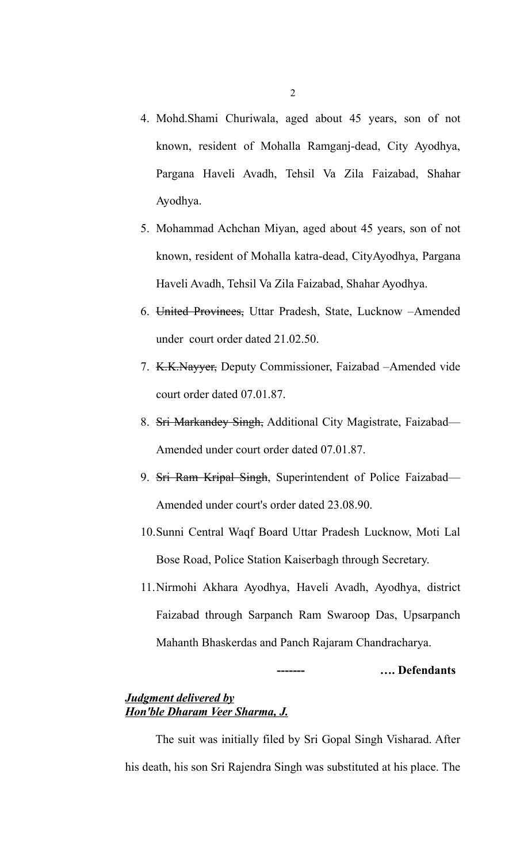- 4. Mohd.Shami Churiwala, aged about 45 years, son of not known, resident of Mohalla Ramganj-dead, City Ayodhya, Pargana Haveli Avadh, Tehsil Va Zila Faizabad, Shahar Ayodhya.
- 5. Mohammad Achchan Miyan, aged about 45 years, son of not known, resident of Mohalla katra-dead, CityAyodhya, Pargana Haveli Avadh, Tehsil Va Zila Faizabad, Shahar Ayodhya.
- 6. United Provinces, Uttar Pradesh, State, Lucknow –Amended under court order dated 21.02.50.
- 7. K.K.Nayyer, Deputy Commissioner, Faizabad –Amended vide court order dated 07.01.87.
- 8. Sri Markandey Singh, Additional City Magistrate, Faizabad— Amended under court order dated 07.01.87.
- 9. Sri Ram Kripal Singh, Superintendent of Police Faizabad— Amended under court's order dated 23.08.90.
- 10.Sunni Central Waqf Board Uttar Pradesh Lucknow, Moti Lal Bose Road, Police Station Kaiserbagh through Secretary.
- 11.Nirmohi Akhara Ayodhya, Haveli Avadh, Ayodhya, district Faizabad through Sarpanch Ram Swaroop Das, Upsarpanch Mahanth Bhaskerdas and Panch Rajaram Chandracharya.

#### **------- …. Defendants**

#### *Judgment delivered by Hon'ble Dharam Veer Sharma, J.*

The suit was initially filed by Sri Gopal Singh Visharad. After his death, his son Sri Rajendra Singh was substituted at his place. The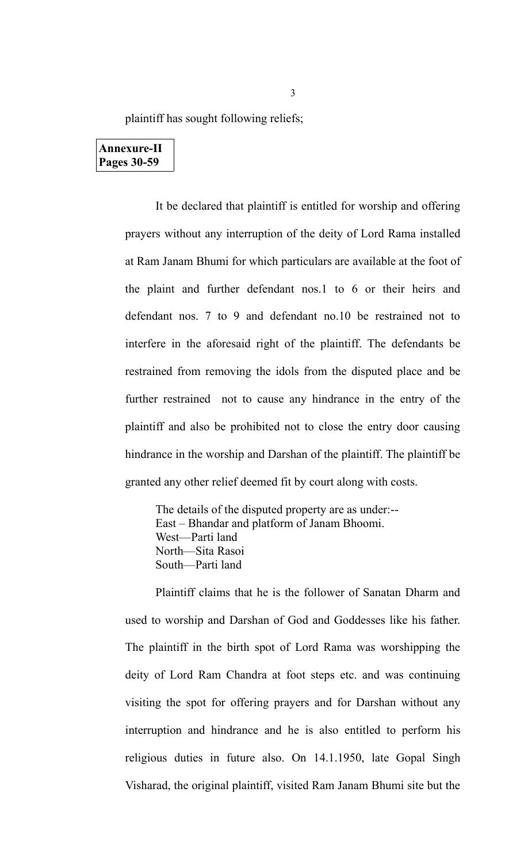plaintiff has sought following reliefs;

## **Annexure-II Pages 30-59**

It be declared that plaintiff is entitled for worship and offering prayers without any interruption of the deity of Lord Rama installed at Ram Janam Bhumi for which particulars are available at the foot of the plaint and further defendant nos.1 to 6 or their heirs and defendant nos. 7 to 9 and defendant no.10 be restrained not to interfere in the aforesaid right of the plaintiff. The defendants be restrained from removing the idols from the disputed place and be further restrained not to cause any hindrance in the entry of the plaintiff and also be prohibited not to close the entry door causing hindrance in the worship and Darshan of the plaintiff. The plaintiff be granted any other relief deemed fit by court along with costs.

The details of the disputed property are as under:-- East – Bhandar and platform of Janam Bhoomi. West—Parti land North—Sita Rasoi South—Parti land

Plaintiff claims that he is the follower of Sanatan Dharm and used to worship and Darshan of God and Goddesses like his father. The plaintiff in the birth spot of Lord Rama was worshipping the deity of Lord Ram Chandra at foot steps etc. and was continuing visiting the spot for offering prayers and for Darshan without any interruption and hindrance and he is also entitled to perform his religious duties in future also. On 14.1.1950, late Gopal Singh Visharad, the original plaintiff, visited Ram Janam Bhumi site but the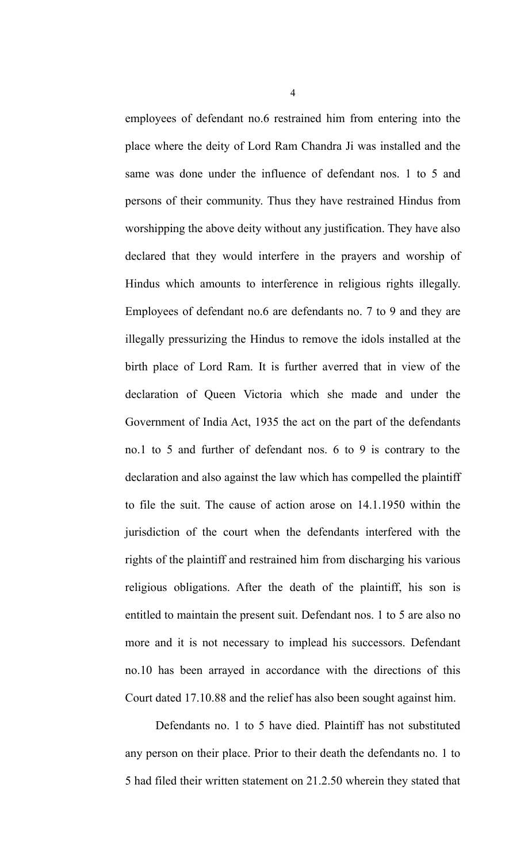employees of defendant no.6 restrained him from entering into the place where the deity of Lord Ram Chandra Ji was installed and the same was done under the influence of defendant nos. 1 to 5 and persons of their community. Thus they have restrained Hindus from worshipping the above deity without any justification. They have also declared that they would interfere in the prayers and worship of Hindus which amounts to interference in religious rights illegally. Employees of defendant no.6 are defendants no. 7 to 9 and they are illegally pressurizing the Hindus to remove the idols installed at the birth place of Lord Ram. It is further averred that in view of the declaration of Queen Victoria which she made and under the Government of India Act, 1935 the act on the part of the defendants no.1 to 5 and further of defendant nos. 6 to 9 is contrary to the declaration and also against the law which has compelled the plaintiff to file the suit. The cause of action arose on 14.1.1950 within the jurisdiction of the court when the defendants interfered with the rights of the plaintiff and restrained him from discharging his various religious obligations. After the death of the plaintiff, his son is entitled to maintain the present suit. Defendant nos. 1 to 5 are also no more and it is not necessary to implead his successors. Defendant no.10 has been arrayed in accordance with the directions of this Court dated 17.10.88 and the relief has also been sought against him.

Defendants no. 1 to 5 have died. Plaintiff has not substituted any person on their place. Prior to their death the defendants no. 1 to 5 had filed their written statement on 21.2.50 wherein they stated that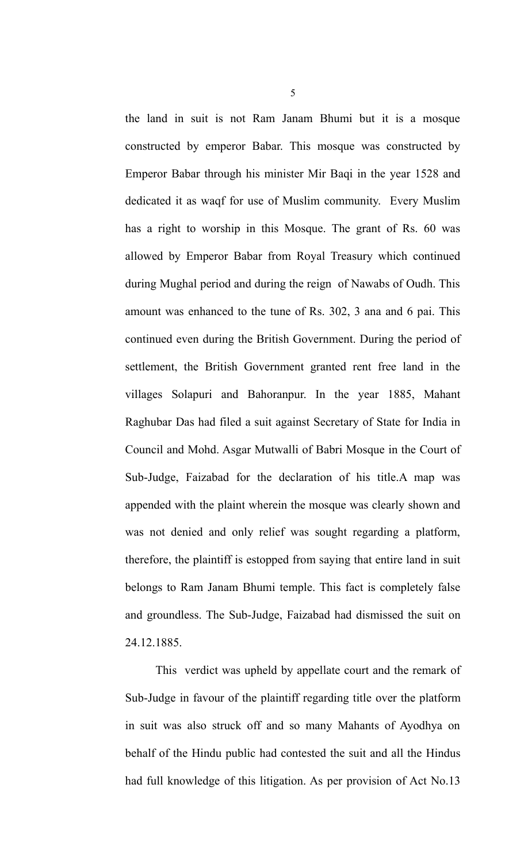the land in suit is not Ram Janam Bhumi but it is a mosque constructed by emperor Babar. This mosque was constructed by Emperor Babar through his minister Mir Baqi in the year 1528 and dedicated it as waqf for use of Muslim community. Every Muslim has a right to worship in this Mosque. The grant of Rs. 60 was allowed by Emperor Babar from Royal Treasury which continued during Mughal period and during the reign of Nawabs of Oudh. This amount was enhanced to the tune of Rs. 302, 3 ana and 6 pai. This continued even during the British Government. During the period of settlement, the British Government granted rent free land in the villages Solapuri and Bahoranpur. In the year 1885, Mahant Raghubar Das had filed a suit against Secretary of State for India in Council and Mohd. Asgar Mutwalli of Babri Mosque in the Court of Sub-Judge, Faizabad for the declaration of his title.A map was appended with the plaint wherein the mosque was clearly shown and was not denied and only relief was sought regarding a platform, therefore, the plaintiff is estopped from saying that entire land in suit belongs to Ram Janam Bhumi temple. This fact is completely false and groundless. The Sub-Judge, Faizabad had dismissed the suit on 24.12.1885.

This verdict was upheld by appellate court and the remark of Sub-Judge in favour of the plaintiff regarding title over the platform in suit was also struck off and so many Mahants of Ayodhya on behalf of the Hindu public had contested the suit and all the Hindus had full knowledge of this litigation. As per provision of Act No.13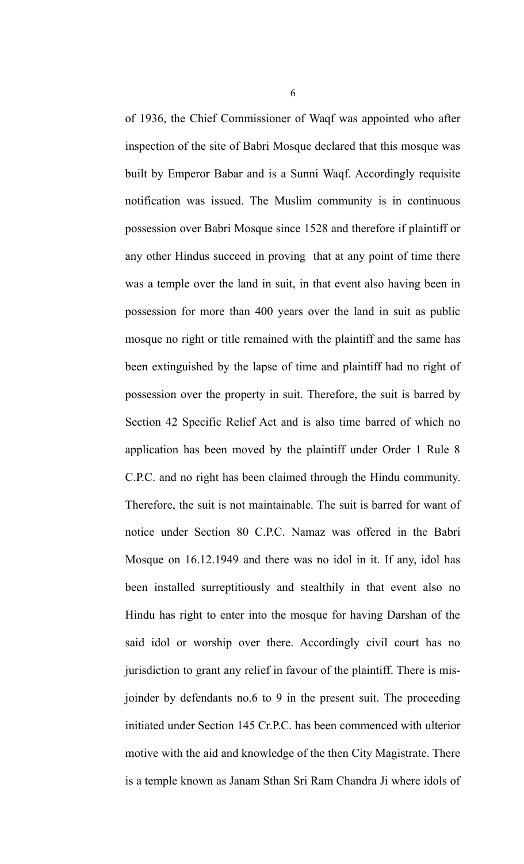of 1936, the Chief Commissioner of Waqf was appointed who after inspection of the site of Babri Mosque declared that this mosque was built by Emperor Babar and is a Sunni Waqf. Accordingly requisite notification was issued. The Muslim community is in continuous possession over Babri Mosque since 1528 and therefore if plaintiff or any other Hindus succeed in proving that at any point of time there was a temple over the land in suit, in that event also having been in possession for more than 400 years over the land in suit as public mosque no right or title remained with the plaintiff and the same has been extinguished by the lapse of time and plaintiff had no right of possession over the property in suit. Therefore, the suit is barred by Section 42 Specific Relief Act and is also time barred of which no application has been moved by the plaintiff under Order 1 Rule 8 C.P.C. and no right has been claimed through the Hindu community. Therefore, the suit is not maintainable. The suit is barred for want of notice under Section 80 C.P.C. Namaz was offered in the Babri Mosque on 16.12.1949 and there was no idol in it. If any, idol has been installed surreptitiously and stealthily in that event also no Hindu has right to enter into the mosque for having Darshan of the said idol or worship over there. Accordingly civil court has no jurisdiction to grant any relief in favour of the plaintiff. There is misjoinder by defendants no.6 to 9 in the present suit. The proceeding initiated under Section 145 Cr.P.C. has been commenced with ulterior motive with the aid and knowledge of the then City Magistrate. There is a temple known as Janam Sthan Sri Ram Chandra Ji where idols of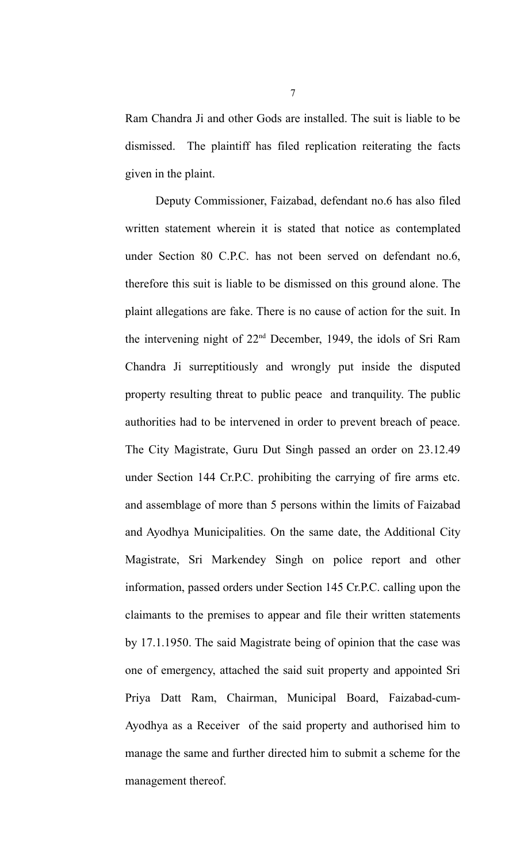Ram Chandra Ji and other Gods are installed. The suit is liable to be dismissed. The plaintiff has filed replication reiterating the facts given in the plaint.

Deputy Commissioner, Faizabad, defendant no.6 has also filed written statement wherein it is stated that notice as contemplated under Section 80 C.P.C. has not been served on defendant no.6, therefore this suit is liable to be dismissed on this ground alone. The plaint allegations are fake. There is no cause of action for the suit. In the intervening night of 22nd December, 1949, the idols of Sri Ram Chandra Ji surreptitiously and wrongly put inside the disputed property resulting threat to public peace and tranquility. The public authorities had to be intervened in order to prevent breach of peace. The City Magistrate, Guru Dut Singh passed an order on 23.12.49 under Section 144 Cr.P.C. prohibiting the carrying of fire arms etc. and assemblage of more than 5 persons within the limits of Faizabad and Ayodhya Municipalities. On the same date, the Additional City Magistrate, Sri Markendey Singh on police report and other information, passed orders under Section 145 Cr.P.C. calling upon the claimants to the premises to appear and file their written statements by 17.1.1950. The said Magistrate being of opinion that the case was one of emergency, attached the said suit property and appointed Sri Priya Datt Ram, Chairman, Municipal Board, Faizabad-cum-Ayodhya as a Receiver of the said property and authorised him to manage the same and further directed him to submit a scheme for the management thereof.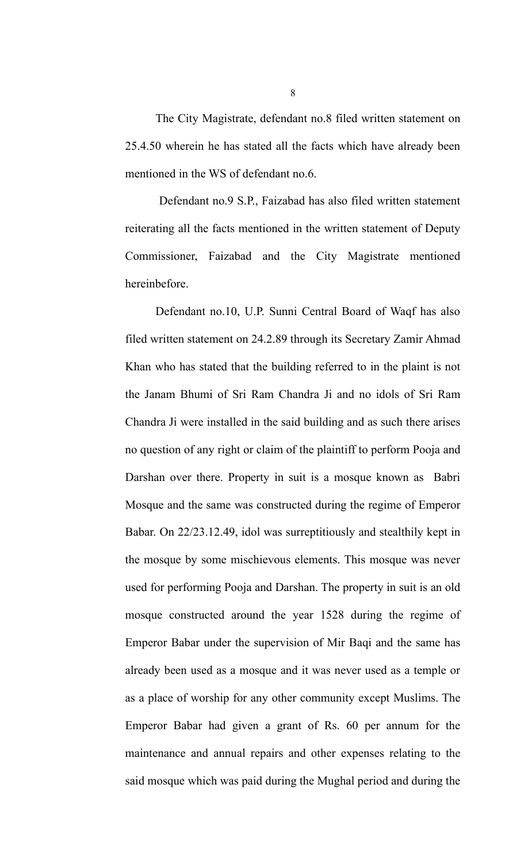The City Magistrate, defendant no.8 filed written statement on 25.4.50 wherein he has stated all the facts which have already been mentioned in the WS of defendant no.6.

 Defendant no.9 S.P., Faizabad has also filed written statement reiterating all the facts mentioned in the written statement of Deputy Commissioner, Faizabad and the City Magistrate mentioned hereinbefore.

Defendant no.10, U.P. Sunni Central Board of Waqf has also filed written statement on 24.2.89 through its Secretary Zamir Ahmad Khan who has stated that the building referred to in the plaint is not the Janam Bhumi of Sri Ram Chandra Ji and no idols of Sri Ram Chandra Ji were installed in the said building and as such there arises no question of any right or claim of the plaintiff to perform Pooja and Darshan over there. Property in suit is a mosque known as Babri Mosque and the same was constructed during the regime of Emperor Babar. On 22/23.12.49, idol was surreptitiously and stealthily kept in the mosque by some mischievous elements. This mosque was never used for performing Pooja and Darshan. The property in suit is an old mosque constructed around the year 1528 during the regime of Emperor Babar under the supervision of Mir Baqi and the same has already been used as a mosque and it was never used as a temple or as a place of worship for any other community except Muslims. The Emperor Babar had given a grant of Rs. 60 per annum for the maintenance and annual repairs and other expenses relating to the said mosque which was paid during the Mughal period and during the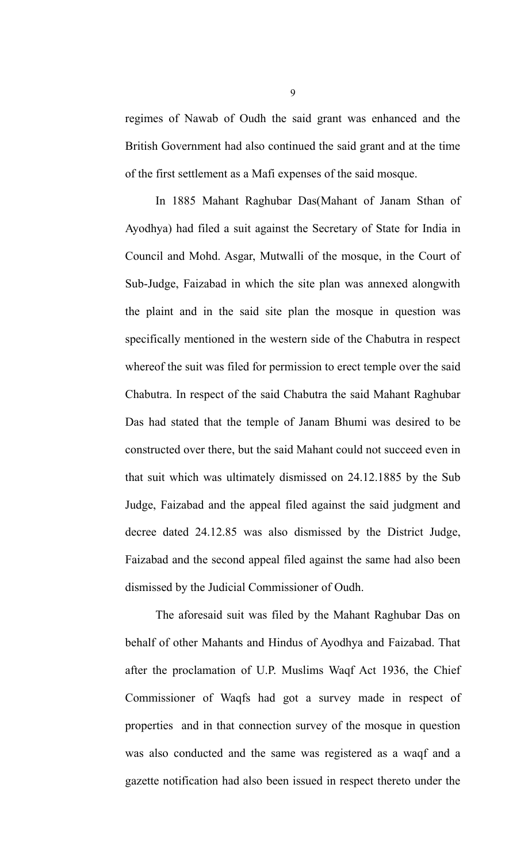regimes of Nawab of Oudh the said grant was enhanced and the British Government had also continued the said grant and at the time of the first settlement as a Mafi expenses of the said mosque.

In 1885 Mahant Raghubar Das(Mahant of Janam Sthan of Ayodhya) had filed a suit against the Secretary of State for India in Council and Mohd. Asgar, Mutwalli of the mosque, in the Court of Sub-Judge, Faizabad in which the site plan was annexed alongwith the plaint and in the said site plan the mosque in question was specifically mentioned in the western side of the Chabutra in respect whereof the suit was filed for permission to erect temple over the said Chabutra. In respect of the said Chabutra the said Mahant Raghubar Das had stated that the temple of Janam Bhumi was desired to be constructed over there, but the said Mahant could not succeed even in that suit which was ultimately dismissed on 24.12.1885 by the Sub Judge, Faizabad and the appeal filed against the said judgment and decree dated 24.12.85 was also dismissed by the District Judge, Faizabad and the second appeal filed against the same had also been dismissed by the Judicial Commissioner of Oudh.

The aforesaid suit was filed by the Mahant Raghubar Das on behalf of other Mahants and Hindus of Ayodhya and Faizabad. That after the proclamation of U.P. Muslims Waqf Act 1936, the Chief Commissioner of Waqfs had got a survey made in respect of properties and in that connection survey of the mosque in question was also conducted and the same was registered as a waqf and a gazette notification had also been issued in respect thereto under the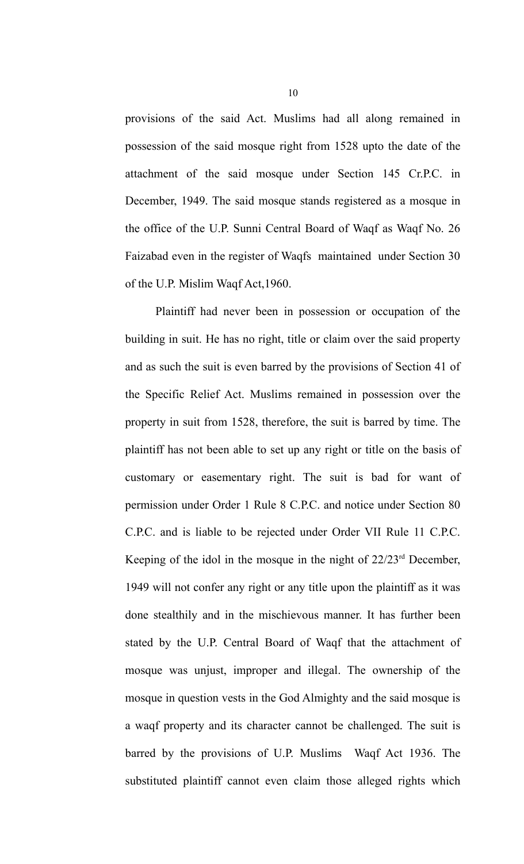provisions of the said Act. Muslims had all along remained in possession of the said mosque right from 1528 upto the date of the attachment of the said mosque under Section 145 Cr.P.C. in December, 1949. The said mosque stands registered as a mosque in the office of the U.P. Sunni Central Board of Waqf as Waqf No. 26 Faizabad even in the register of Waqfs maintained under Section 30 of the U.P. Mislim Waqf Act,1960.

Plaintiff had never been in possession or occupation of the building in suit. He has no right, title or claim over the said property and as such the suit is even barred by the provisions of Section 41 of the Specific Relief Act. Muslims remained in possession over the property in suit from 1528, therefore, the suit is barred by time. The plaintiff has not been able to set up any right or title on the basis of customary or easementary right. The suit is bad for want of permission under Order 1 Rule 8 C.P.C. and notice under Section 80 C.P.C. and is liable to be rejected under Order VII Rule 11 C.P.C. Keeping of the idol in the mosque in the night of 22/23rd December, 1949 will not confer any right or any title upon the plaintiff as it was done stealthily and in the mischievous manner. It has further been stated by the U.P. Central Board of Waqf that the attachment of mosque was unjust, improper and illegal. The ownership of the mosque in question vests in the God Almighty and the said mosque is a waqf property and its character cannot be challenged. The suit is barred by the provisions of U.P. Muslims Waqf Act 1936. The substituted plaintiff cannot even claim those alleged rights which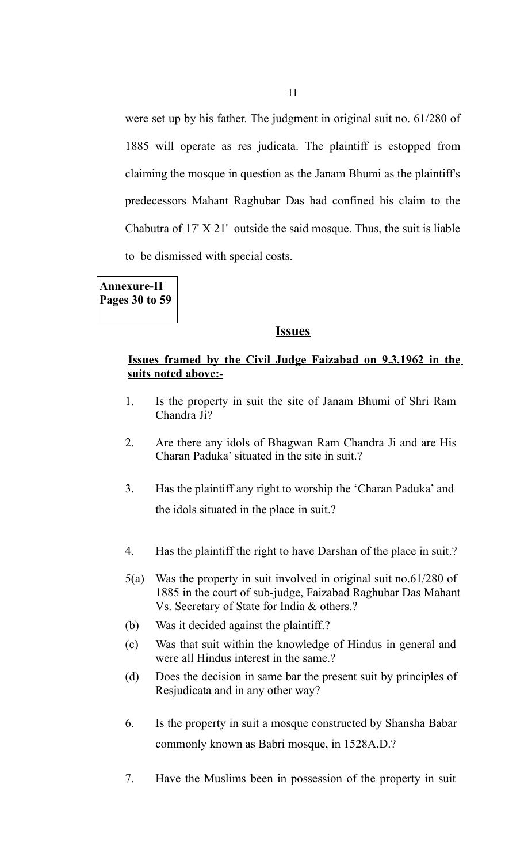were set up by his father. The judgment in original suit no. 61/280 of 1885 will operate as res judicata. The plaintiff is estopped from claiming the mosque in question as the Janam Bhumi as the plaintiff's predecessors Mahant Raghubar Das had confined his claim to the Chabutra of 17' X 21' outside the said mosque. Thus, the suit is liable to be dismissed with special costs.

**Annexure-II Pages 30 to 59**

#### **Issues**

## **Issues framed by the Civil Judge Faizabad on 9.3.1962 in the suits noted above:-**

- 1. Is the property in suit the site of Janam Bhumi of Shri Ram Chandra Ji?
- 2. Are there any idols of Bhagwan Ram Chandra Ji and are His Charan Paduka' situated in the site in suit.?
- 3. Has the plaintiff any right to worship the 'Charan Paduka' and the idols situated in the place in suit.?
- 4. Has the plaintiff the right to have Darshan of the place in suit.?
- 5(a) Was the property in suit involved in original suit no.61/280 of 1885 in the court of sub-judge, Faizabad Raghubar Das Mahant Vs. Secretary of State for India & others.?
- (b) Was it decided against the plaintiff.?
- (c) Was that suit within the knowledge of Hindus in general and were all Hindus interest in the same.?
- (d) Does the decision in same bar the present suit by principles of Resjudicata and in any other way?
- 6. Is the property in suit a mosque constructed by Shansha Babar commonly known as Babri mosque, in 1528A.D.?
- 7. Have the Muslims been in possession of the property in suit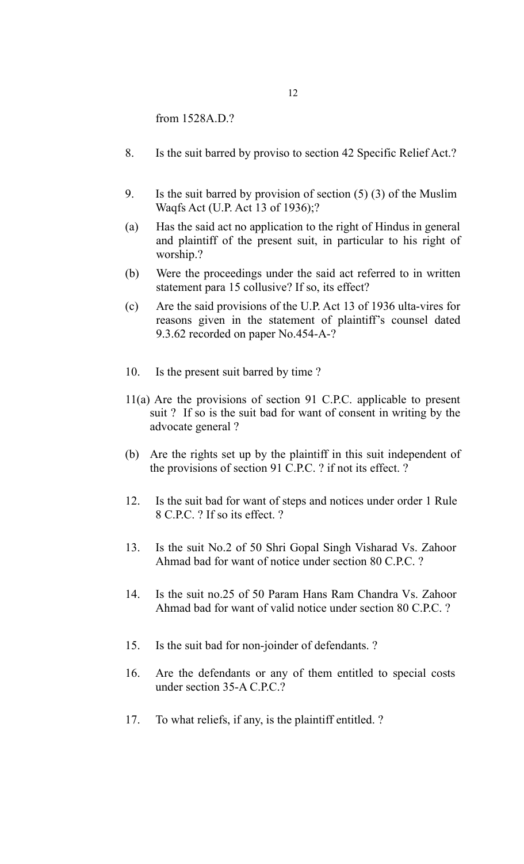from 1528A.D.?

- 8. Is the suit barred by proviso to section 42 Specific Relief Act.?
- 9. Is the suit barred by provision of section (5) (3) of the Muslim Waqfs Act (U.P. Act 13 of 1936);?
- (a) Has the said act no application to the right of Hindus in general and plaintiff of the present suit, in particular to his right of worship.?
- (b) Were the proceedings under the said act referred to in written statement para 15 collusive? If so, its effect?
- (c) Are the said provisions of the U.P. Act 13 of 1936 ulta-vires for reasons given in the statement of plaintiff's counsel dated 9.3.62 recorded on paper No.454-A-?
- 10. Is the present suit barred by time ?
- 11(a) Are the provisions of section 91 C.P.C. applicable to present suit ? If so is the suit bad for want of consent in writing by the advocate general ?
- (b) Are the rights set up by the plaintiff in this suit independent of the provisions of section 91 C.P.C. ? if not its effect. ?
- 12. Is the suit bad for want of steps and notices under order 1 Rule 8 C.P.C. ? If so its effect. ?
- 13. Is the suit No.2 of 50 Shri Gopal Singh Visharad Vs. Zahoor Ahmad bad for want of notice under section 80 C.P.C. ?
- 14. Is the suit no.25 of 50 Param Hans Ram Chandra Vs. Zahoor Ahmad bad for want of valid notice under section 80 C.P.C. ?
- 15. Is the suit bad for non-joinder of defendants. ?
- 16. Are the defendants or any of them entitled to special costs under section 35-A C.P.C.?
- 17. To what reliefs, if any, is the plaintiff entitled. ?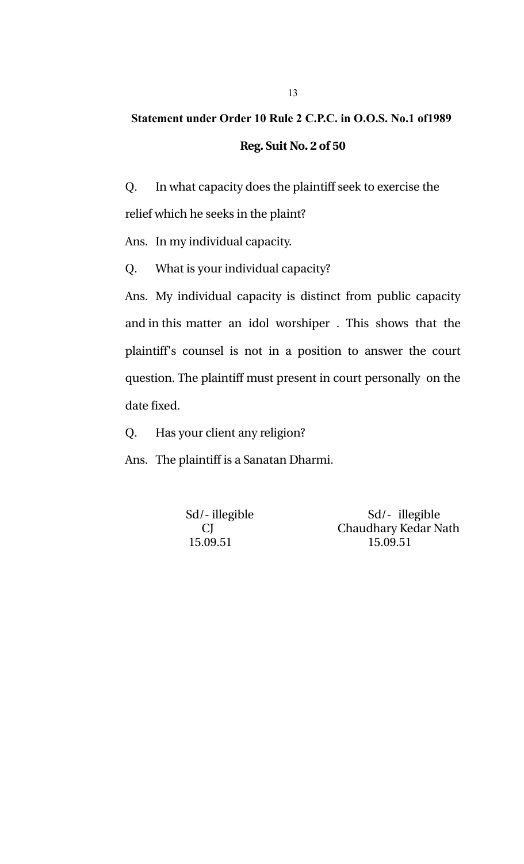# **Statement under Order 10 Rule 2 C.P.C. in O.O.S. No.1 of1989 Reg. Suit No. 2 of 50**

Q. In what capacity does the plaintiff seek to exercise the relief which he seeks in the plaint?

Ans. In my individual capacity.

Q. What is your individual capacity?

Ans. My individual capacity is distinct from public capacity and in this matter an idol worshiper. This shows that the plaintiff's counsel is not in a position to answer the court question. The plaintiff must present in court personally on the date fixed.

Q. Has your client any religion?

Ans. The plaintiff is a Sanatan Dharmi.

Sd/- illegible Sd/- illegible CJ Chaudhary Kedar Nath 15.09.51 15.09.51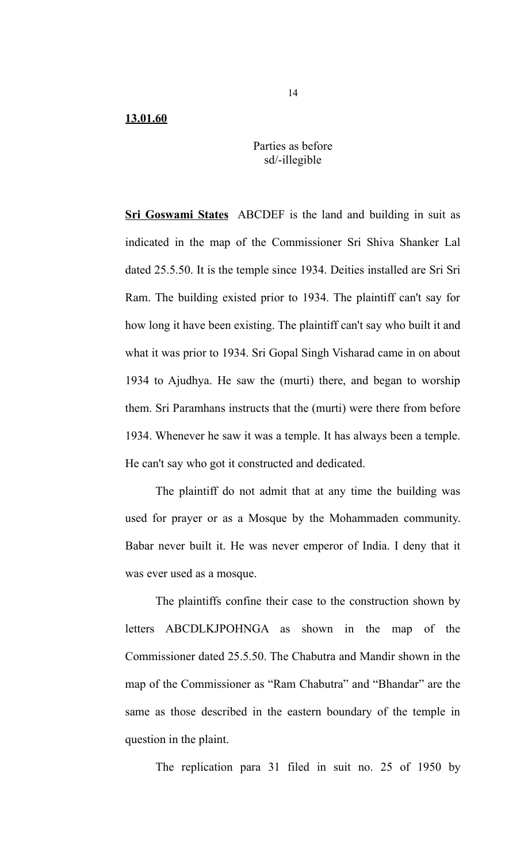## Parties as before sd/-illegible

**Sri Goswami States** ABCDEF is the land and building in suit as indicated in the map of the Commissioner Sri Shiva Shanker Lal dated 25.5.50. It is the temple since 1934. Deities installed are Sri Sri Ram. The building existed prior to 1934. The plaintiff can't say for how long it have been existing. The plaintiff can't say who built it and what it was prior to 1934. Sri Gopal Singh Visharad came in on about 1934 to Ajudhya. He saw the (murti) there, and began to worship them. Sri Paramhans instructs that the (murti) were there from before 1934. Whenever he saw it was a temple. It has always been a temple. He can't say who got it constructed and dedicated.

The plaintiff do not admit that at any time the building was used for prayer or as a Mosque by the Mohammaden community. Babar never built it. He was never emperor of India. I deny that it was ever used as a mosque.

The plaintiffs confine their case to the construction shown by letters ABCDLKJPOHNGA as shown in the map of the Commissioner dated 25.5.50. The Chabutra and Mandir shown in the map of the Commissioner as "Ram Chabutra" and "Bhandar" are the same as those described in the eastern boundary of the temple in question in the plaint.

The replication para 31 filed in suit no. 25 of 1950 by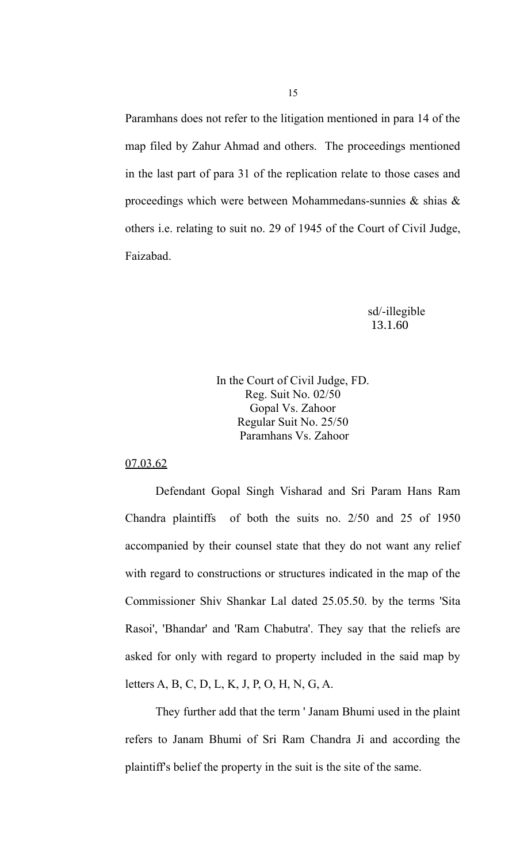Paramhans does not refer to the litigation mentioned in para 14 of the map filed by Zahur Ahmad and others. The proceedings mentioned in the last part of para 31 of the replication relate to those cases and proceedings which were between Mohammedans-sunnies & shias & others i.e. relating to suit no. 29 of 1945 of the Court of Civil Judge, Faizabad.

> sd/-illegible 13.1.60

## In the Court of Civil Judge, FD. Reg. Suit No. 02/50 Gopal Vs. Zahoor Regular Suit No. 25/50 Paramhans Vs. Zahoor

## 07.03.62

Defendant Gopal Singh Visharad and Sri Param Hans Ram Chandra plaintiffs of both the suits no. 2/50 and 25 of 1950 accompanied by their counsel state that they do not want any relief with regard to constructions or structures indicated in the map of the Commissioner Shiv Shankar Lal dated 25.05.50. by the terms 'Sita Rasoi', 'Bhandar' and 'Ram Chabutra'. They say that the reliefs are asked for only with regard to property included in the said map by letters A, B, C, D, L, K, J, P, O, H, N, G, A.

They further add that the term ' Janam Bhumi used in the plaint refers to Janam Bhumi of Sri Ram Chandra Ji and according the plaintiff's belief the property in the suit is the site of the same.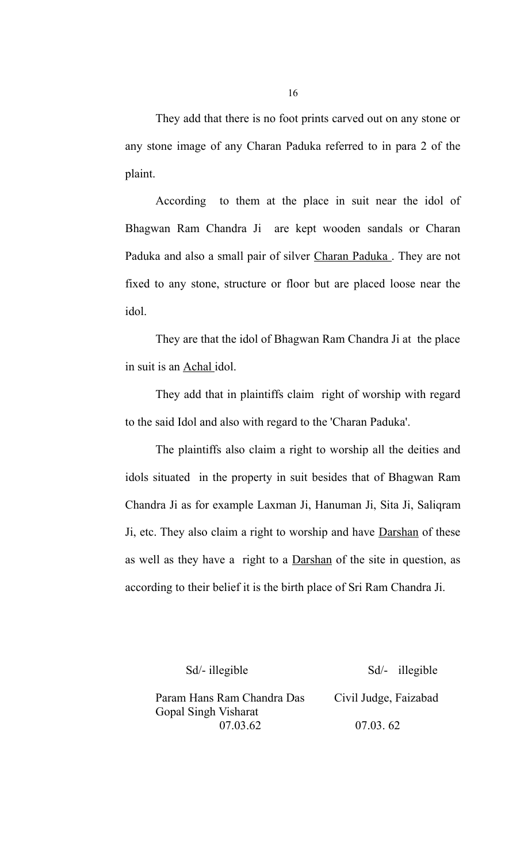They add that there is no foot prints carved out on any stone or any stone image of any Charan Paduka referred to in para 2 of the plaint.

According to them at the place in suit near the idol of Bhagwan Ram Chandra Ji are kept wooden sandals or Charan Paduka and also a small pair of silver Charan Paduka. They are not fixed to any stone, structure or floor but are placed loose near the idol.

They are that the idol of Bhagwan Ram Chandra Ji at the place in suit is an Achal idol.

They add that in plaintiffs claim right of worship with regard to the said Idol and also with regard to the 'Charan Paduka'.

The plaintiffs also claim a right to worship all the deities and idols situated in the property in suit besides that of Bhagwan Ram Chandra Ji as for example Laxman Ji, Hanuman Ji, Sita Ji, Saliqram Ji, etc. They also claim a right to worship and have Darshan of these as well as they have a right to a Darshan of the site in question, as according to their belief it is the birth place of Sri Ram Chandra Ji.

Sd/- illegible Sd/- illegible

Param Hans Ram Chandra Das Civil Judge, Faizabad Gopal Singh Visharat 07.03.62 07.03. 62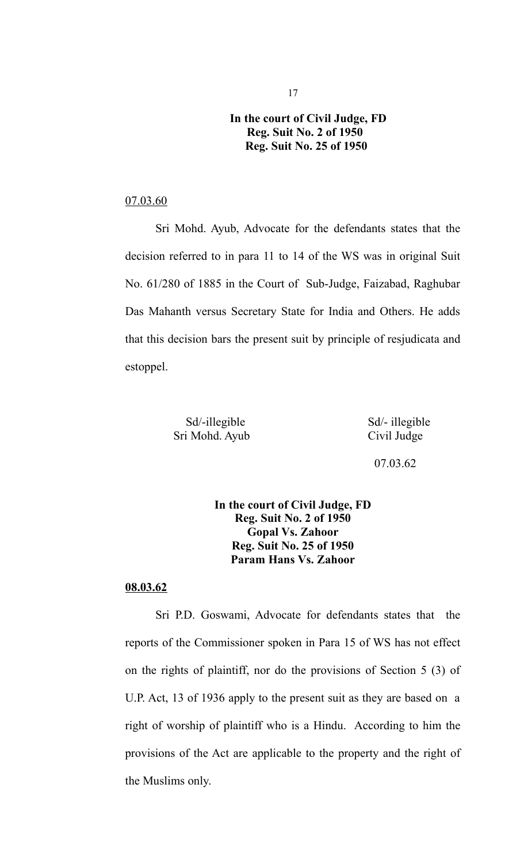## **In the court of Civil Judge, FD Reg. Suit No. 2 of 1950 Reg. Suit No. 25 of 1950**

## 07.03.60

Sri Mohd. Ayub, Advocate for the defendants states that the decision referred to in para 11 to 14 of the WS was in original Suit No. 61/280 of 1885 in the Court of Sub-Judge, Faizabad, Raghubar Das Mahanth versus Secretary State for India and Others. He adds that this decision bars the present suit by principle of resjudicata and estoppel.

| Sd/-illegible |                |  |
|---------------|----------------|--|
|               | Sri Mohd. Ayub |  |

Sd/- illegible Civil Judge

07.03.62

**In the court of Civil Judge, FD Reg. Suit No. 2 of 1950 Gopal Vs. Zahoor Reg. Suit No. 25 of 1950 Param Hans Vs. Zahoor**

## **08.03.62**

Sri P.D. Goswami, Advocate for defendants states that the reports of the Commissioner spoken in Para 15 of WS has not effect on the rights of plaintiff, nor do the provisions of Section 5 (3) of U.P. Act, 13 of 1936 apply to the present suit as they are based on a right of worship of plaintiff who is a Hindu. According to him the provisions of the Act are applicable to the property and the right of the Muslims only.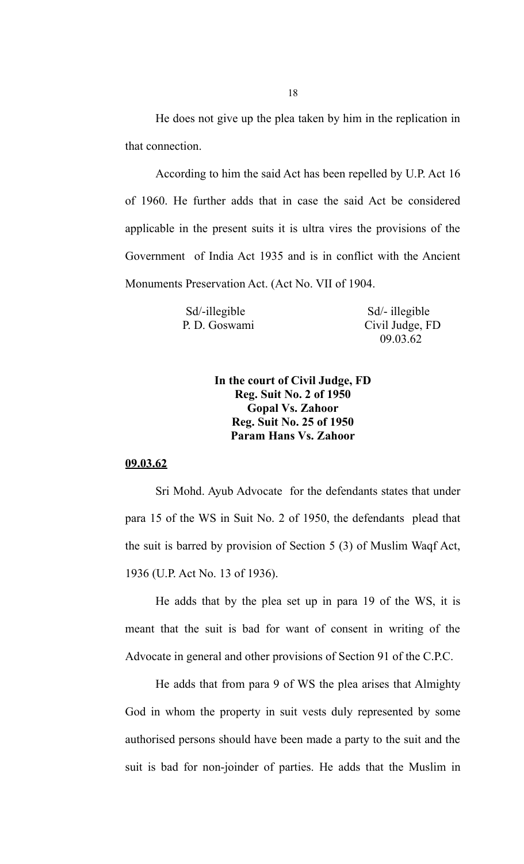18

He does not give up the plea taken by him in the replication in that connection.

According to him the said Act has been repelled by U.P. Act 16 of 1960. He further adds that in case the said Act be considered applicable in the present suits it is ultra vires the provisions of the Government of India Act 1935 and is in conflict with the Ancient Monuments Preservation Act. (Act No. VII of 1904.

| Sd/-illegible | Sd/- illegible  |
|---------------|-----------------|
| P. D. Goswami | Civil Judge, FD |

illegible 09.03.62

## **In the court of Civil Judge, FD Reg. Suit No. 2 of 1950 Gopal Vs. Zahoor Reg. Suit No. 25 of 1950 Param Hans Vs. Zahoor**

#### **09.03.62**

Sri Mohd. Ayub Advocate for the defendants states that under para 15 of the WS in Suit No. 2 of 1950, the defendants plead that the suit is barred by provision of Section 5 (3) of Muslim Waqf Act, 1936 (U.P. Act No. 13 of 1936).

He adds that by the plea set up in para 19 of the WS, it is meant that the suit is bad for want of consent in writing of the Advocate in general and other provisions of Section 91 of the C.P.C.

He adds that from para 9 of WS the plea arises that Almighty God in whom the property in suit vests duly represented by some authorised persons should have been made a party to the suit and the suit is bad for non-joinder of parties. He adds that the Muslim in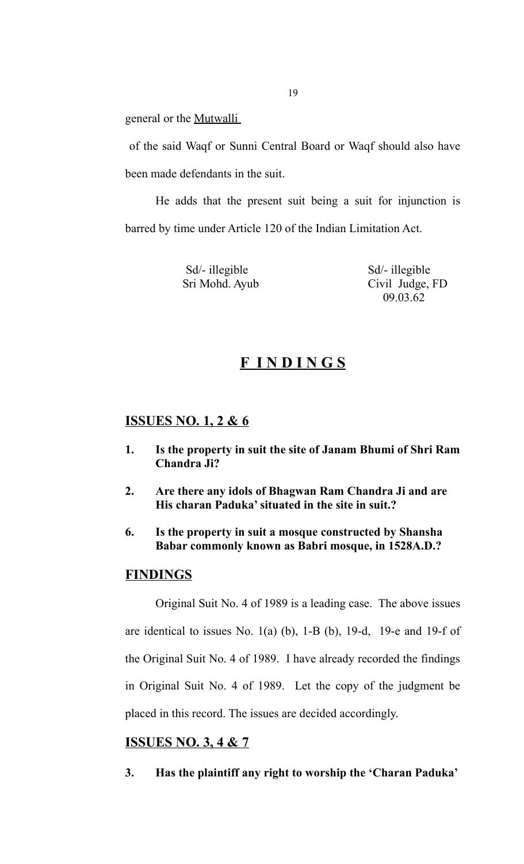general or the Mutwalli

 of the said Waqf or Sunni Central Board or Waqf should also have been made defendants in the suit.

He adds that the present suit being a suit for injunction is barred by time under Article 120 of the Indian Limitation Act.

Sd<sup> $\ell$ </sup>- illegible Sd<sup> $\ell$ </sup>- illegible

 Sri Mohd. Ayub Civil Judge, FD 09.03.62

## **F I N D I N G S**

## **ISSUES NO. 1, 2 & 6**

- **1. Is the property in suit the site of Janam Bhumi of Shri Ram Chandra Ji?**
- **2. Are there any idols of Bhagwan Ram Chandra Ji and are His charan Paduka' situated in the site in suit.?**
- **6. Is the property in suit a mosque constructed by Shansha Babar commonly known as Babri mosque, in 1528A.D.?**

## **FINDINGS**

Original Suit No. 4 of 1989 is a leading case. The above issues are identical to issues No.  $1(a)$  (b),  $1-B$  (b),  $19-d$ ,  $19-e$  and  $19-f$  of the Original Suit No. 4 of 1989. I have already recorded the findings in Original Suit No. 4 of 1989. Let the copy of the judgment be placed in this record. The issues are decided accordingly.

## **ISSUES NO. 3, 4 & 7**

**3. Has the plaintiff any right to worship the 'Charan Paduka'**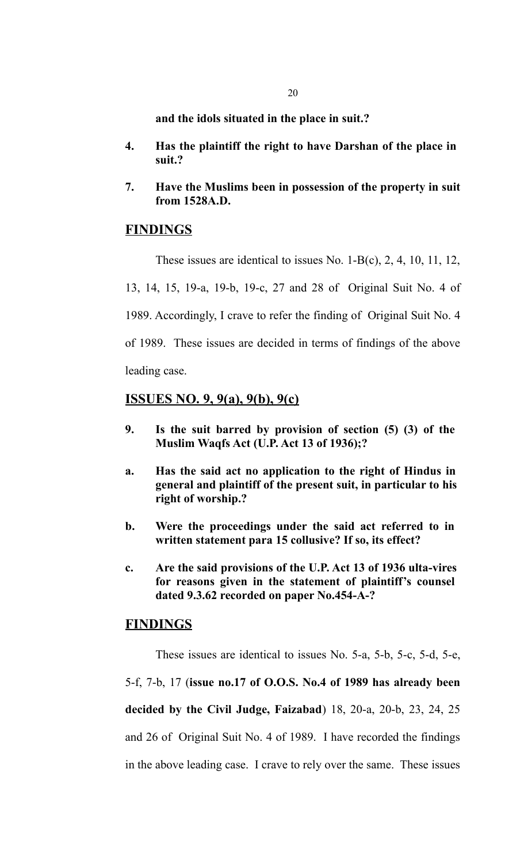**and the idols situated in the place in suit.?**

- **4. Has the plaintiff the right to have Darshan of the place in suit.?**
- **7. Have the Muslims been in possession of the property in suit from 1528A.D.**

## **FINDINGS**

These issues are identical to issues No. 1-B(c), 2, 4, 10, 11, 12, 13, 14, 15, 19-a, 19-b, 19-c, 27 and 28 of Original Suit No. 4 of 1989. Accordingly, I crave to refer the finding of Original Suit No. 4 of 1989. These issues are decided in terms of findings of the above leading case.

**ISSUES NO. 9, 9(a), 9(b), 9(c)**

- **9. Is the suit barred by provision of section (5) (3) of the Muslim Waqfs Act (U.P. Act 13 of 1936);?**
- **a. Has the said act no application to the right of Hindus in general and plaintiff of the present suit, in particular to his right of worship.?**
- **b. Were the proceedings under the said act referred to in written statement para 15 collusive? If so, its effect?**
- **c. Are the said provisions of the U.P. Act 13 of 1936 ulta-vires for reasons given in the statement of plaintiff's counsel dated 9.3.62 recorded on paper No.454-A-?**

## **FINDINGS**

These issues are identical to issues No. 5-a, 5-b, 5-c, 5-d, 5-e, 5-f, 7-b, 17 (**issue no.17 of O.O.S. No.4 of 1989 has already been decided by the Civil Judge, Faizabad**) 18, 20-a, 20-b, 23, 24, 25 and 26 of Original Suit No. 4 of 1989. I have recorded the findings in the above leading case. I crave to rely over the same. These issues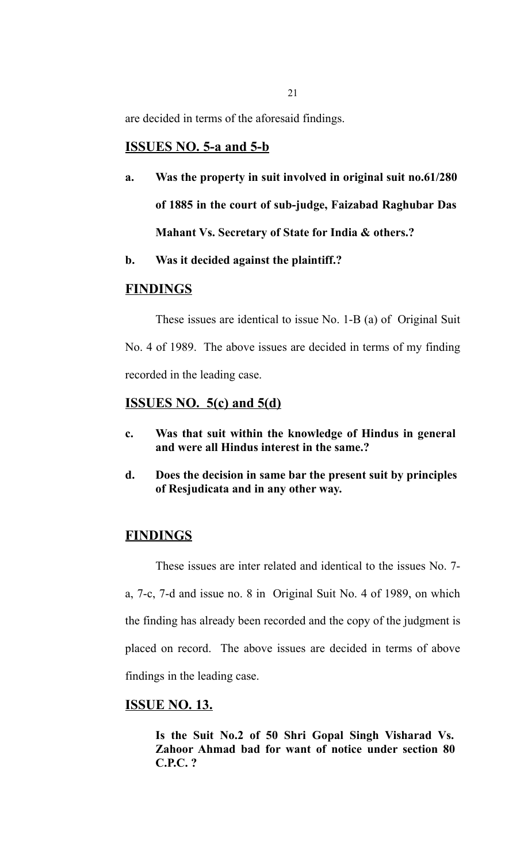are decided in terms of the aforesaid findings.

## **ISSUES NO. 5-a and 5-b**

- **a. Was the property in suit involved in original suit no.61/280 of 1885 in the court of sub-judge, Faizabad Raghubar Das Mahant Vs. Secretary of State for India & others.?**
- **b. Was it decided against the plaintiff.?**

## **FINDINGS**

These issues are identical to issue No. 1-B (a) of Original Suit No. 4 of 1989. The above issues are decided in terms of my finding recorded in the leading case.

## **ISSUES NO. 5(c) and 5(d)**

- **c. Was that suit within the knowledge of Hindus in general and were all Hindus interest in the same.?**
- **d. Does the decision in same bar the present suit by principles of Resjudicata and in any other way.**

## **FINDINGS**

These issues are inter related and identical to the issues No. 7 a, 7-c, 7-d and issue no. 8 in Original Suit No. 4 of 1989, on which the finding has already been recorded and the copy of the judgment is placed on record. The above issues are decided in terms of above findings in the leading case.

## **ISSUE NO. 13.**

**Is the Suit No.2 of 50 Shri Gopal Singh Visharad Vs. Zahoor Ahmad bad for want of notice under section 80 C.P.C. ?**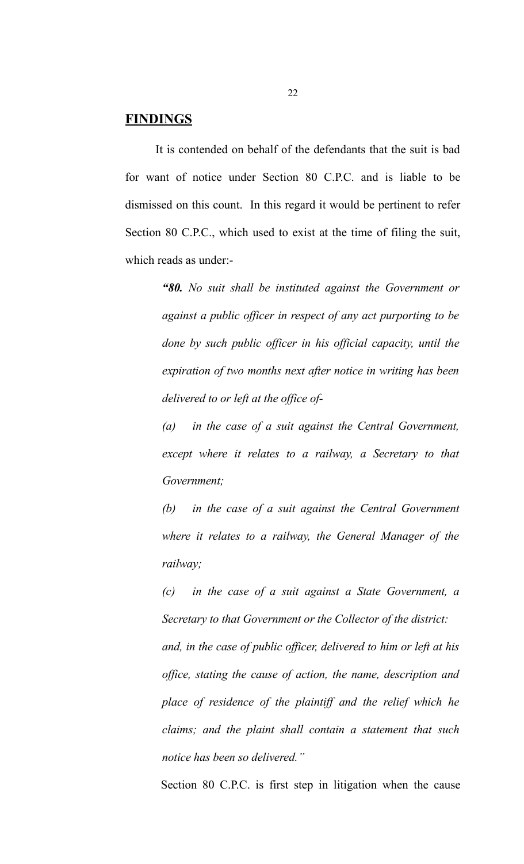## **FINDINGS**

It is contended on behalf of the defendants that the suit is bad for want of notice under Section 80 C.P.C. and is liable to be dismissed on this count. In this regard it would be pertinent to refer Section 80 C.P.C., which used to exist at the time of filing the suit, which reads as under:-

> *"80. No suit shall be instituted against the Government or against a public officer in respect of any act purporting to be done by such public officer in his official capacity, until the expiration of two months next after notice in writing has been delivered to or left at the office of-*

> *(a) in the case of a suit against the Central Government, except where it relates to a railway, a Secretary to that Government;*

> *(b) in the case of a suit against the Central Government where it relates to a railway, the General Manager of the railway;*

> *(c) in the case of a suit against a State Government, a Secretary to that Government or the Collector of the district: and, in the case of public officer, delivered to him or left at his office, stating the cause of action, the name, description and place of residence of the plaintiff and the relief which he claims; and the plaint shall contain a statement that such notice has been so delivered."*

> Section 80 C.P.C. is first step in litigation when the cause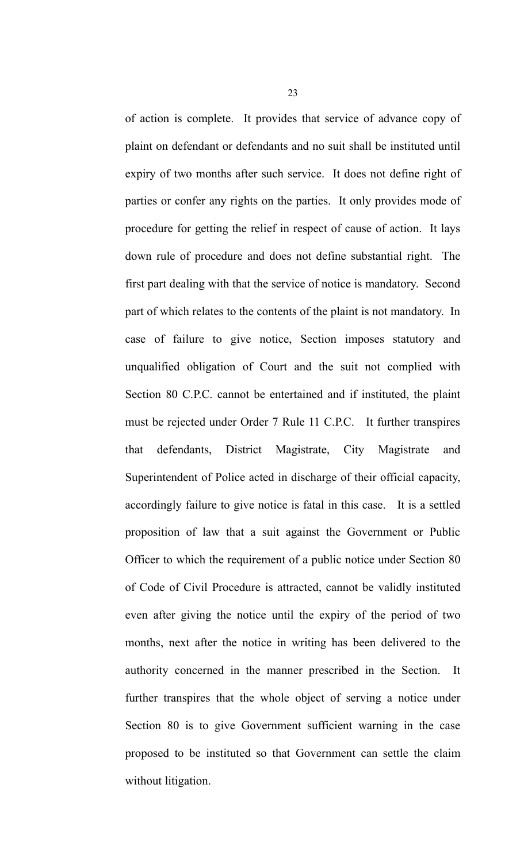of action is complete. It provides that service of advance copy of plaint on defendant or defendants and no suit shall be instituted until expiry of two months after such service. It does not define right of parties or confer any rights on the parties. It only provides mode of procedure for getting the relief in respect of cause of action. It lays down rule of procedure and does not define substantial right. The first part dealing with that the service of notice is mandatory. Second part of which relates to the contents of the plaint is not mandatory. In case of failure to give notice, Section imposes statutory and unqualified obligation of Court and the suit not complied with Section 80 C.P.C. cannot be entertained and if instituted, the plaint must be rejected under Order 7 Rule 11 C.P.C. It further transpires that defendants, District Magistrate, City Magistrate and Superintendent of Police acted in discharge of their official capacity, accordingly failure to give notice is fatal in this case. It is a settled proposition of law that a suit against the Government or Public Officer to which the requirement of a public notice under Section 80 of Code of Civil Procedure is attracted, cannot be validly instituted even after giving the notice until the expiry of the period of two months, next after the notice in writing has been delivered to the authority concerned in the manner prescribed in the Section. It further transpires that the whole object of serving a notice under Section 80 is to give Government sufficient warning in the case proposed to be instituted so that Government can settle the claim without litigation.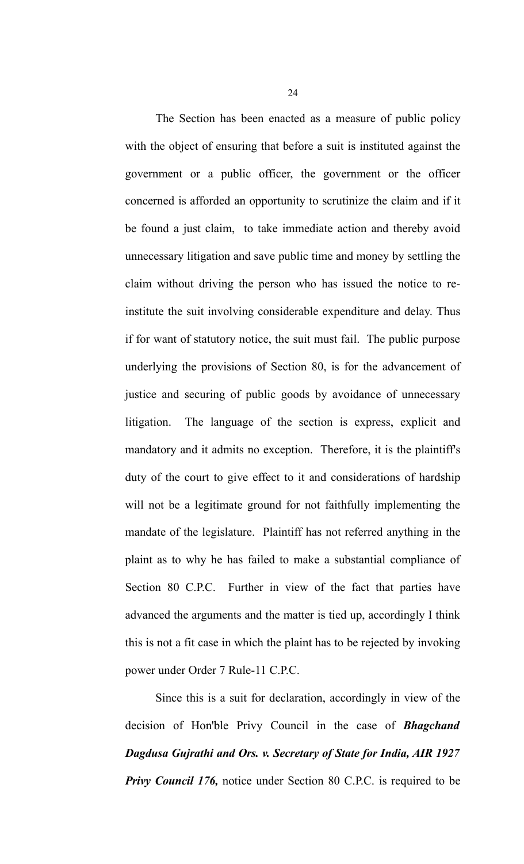The Section has been enacted as a measure of public policy with the object of ensuring that before a suit is instituted against the government or a public officer, the government or the officer concerned is afforded an opportunity to scrutinize the claim and if it be found a just claim, to take immediate action and thereby avoid unnecessary litigation and save public time and money by settling the claim without driving the person who has issued the notice to reinstitute the suit involving considerable expenditure and delay. Thus if for want of statutory notice, the suit must fail. The public purpose underlying the provisions of Section 80, is for the advancement of justice and securing of public goods by avoidance of unnecessary litigation. The language of the section is express, explicit and mandatory and it admits no exception. Therefore, it is the plaintiff's duty of the court to give effect to it and considerations of hardship will not be a legitimate ground for not faithfully implementing the mandate of the legislature. Plaintiff has not referred anything in the plaint as to why he has failed to make a substantial compliance of Section 80 C.P.C. Further in view of the fact that parties have advanced the arguments and the matter is tied up, accordingly I think this is not a fit case in which the plaint has to be rejected by invoking power under Order 7 Rule-11 C.P.C.

Since this is a suit for declaration, accordingly in view of the decision of Hon'ble Privy Council in the case of *Bhagchand Dagdusa Gujrathi and Ors. v. Secretary of State for India, AIR 1927 Privy Council 176,* notice under Section 80 C.P.C. is required to be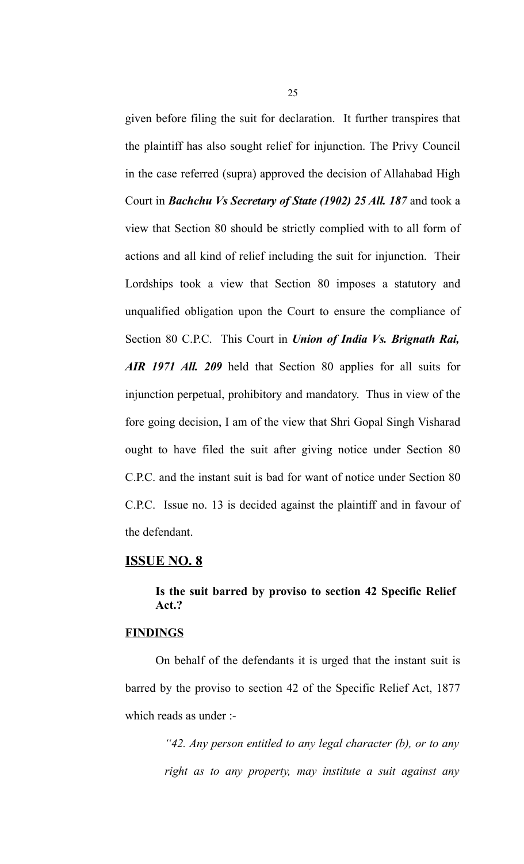given before filing the suit for declaration. It further transpires that the plaintiff has also sought relief for injunction. The Privy Council in the case referred (supra) approved the decision of Allahabad High Court in *Bachchu Vs Secretary of State (1902) 25 All. 187* and took a view that Section 80 should be strictly complied with to all form of actions and all kind of relief including the suit for injunction. Their Lordships took a view that Section 80 imposes a statutory and unqualified obligation upon the Court to ensure the compliance of Section 80 C.P.C. This Court in *Union of India Vs. Brignath Rai, AIR 1971 All. 209* held that Section 80 applies for all suits for injunction perpetual, prohibitory and mandatory. Thus in view of the fore going decision, I am of the view that Shri Gopal Singh Visharad ought to have filed the suit after giving notice under Section 80 C.P.C. and the instant suit is bad for want of notice under Section 80 C.P.C. Issue no. 13 is decided against the plaintiff and in favour of the defendant.

#### **ISSUE NO. 8**

## **Is the suit barred by proviso to section 42 Specific Relief Act.?**

## **FINDINGS**

On behalf of the defendants it is urged that the instant suit is barred by the proviso to section 42 of the Specific Relief Act, 1877 which reads as under :-

> *"42. Any person entitled to any legal character (b), or to any right as to any property, may institute a suit against any*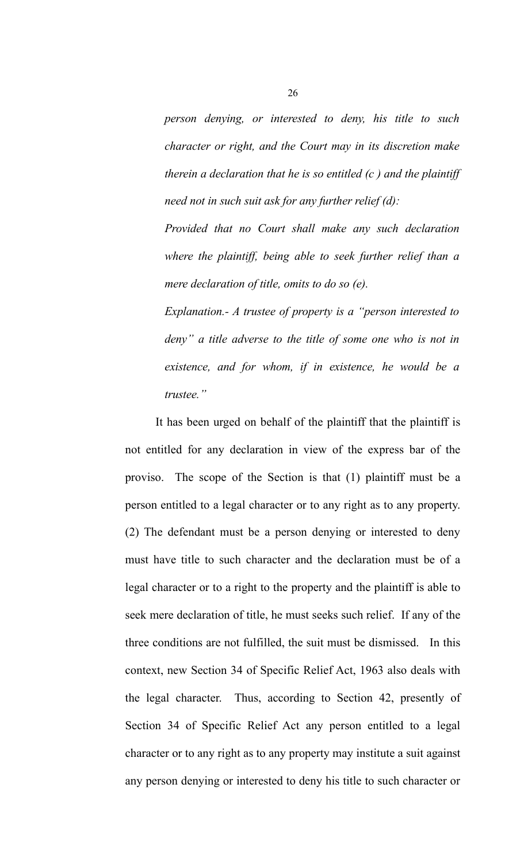*person denying, or interested to deny, his title to such character or right, and the Court may in its discretion make therein a declaration that he is so entitled (c ) and the plaintiff need not in such suit ask for any further relief (d):*

*Provided that no Court shall make any such declaration where the plaintiff, being able to seek further relief than a mere declaration of title, omits to do so (e).*

*Explanation.- A trustee of property is a "person interested to deny" a title adverse to the title of some one who is not in existence, and for whom, if in existence, he would be a trustee."* 

It has been urged on behalf of the plaintiff that the plaintiff is not entitled for any declaration in view of the express bar of the proviso. The scope of the Section is that (1) plaintiff must be a person entitled to a legal character or to any right as to any property. (2) The defendant must be a person denying or interested to deny must have title to such character and the declaration must be of a legal character or to a right to the property and the plaintiff is able to seek mere declaration of title, he must seeks such relief. If any of the three conditions are not fulfilled, the suit must be dismissed. In this context, new Section 34 of Specific Relief Act, 1963 also deals with the legal character. Thus, according to Section 42, presently of Section 34 of Specific Relief Act any person entitled to a legal character or to any right as to any property may institute a suit against any person denying or interested to deny his title to such character or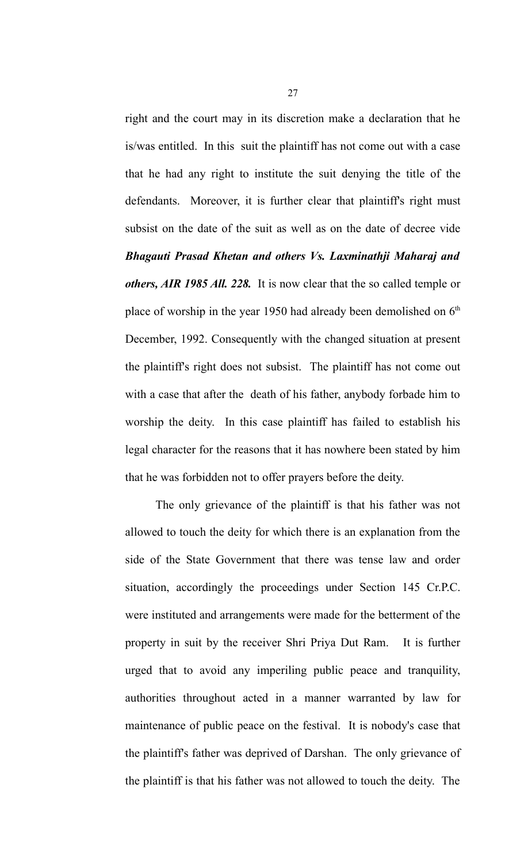right and the court may in its discretion make a declaration that he is/was entitled. In this suit the plaintiff has not come out with a case that he had any right to institute the suit denying the title of the defendants. Moreover, it is further clear that plaintiff's right must subsist on the date of the suit as well as on the date of decree vide *Bhagauti Prasad Khetan and others Vs. Laxminathji Maharaj and others, AIR 1985 All. 228.* It is now clear that the so called temple or place of worship in the year 1950 had already been demolished on  $6<sup>th</sup>$ December, 1992. Consequently with the changed situation at present the plaintiff's right does not subsist. The plaintiff has not come out with a case that after the death of his father, anybody forbade him to worship the deity. In this case plaintiff has failed to establish his legal character for the reasons that it has nowhere been stated by him that he was forbidden not to offer prayers before the deity.

The only grievance of the plaintiff is that his father was not allowed to touch the deity for which there is an explanation from the side of the State Government that there was tense law and order situation, accordingly the proceedings under Section 145 Cr.P.C. were instituted and arrangements were made for the betterment of the property in suit by the receiver Shri Priya Dut Ram. It is further urged that to avoid any imperiling public peace and tranquility, authorities throughout acted in a manner warranted by law for maintenance of public peace on the festival. It is nobody's case that the plaintiff's father was deprived of Darshan. The only grievance of the plaintiff is that his father was not allowed to touch the deity. The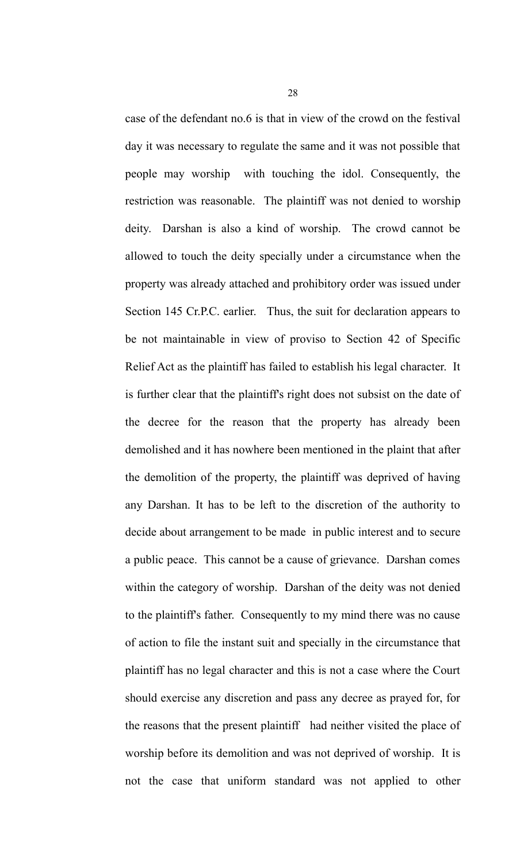case of the defendant no.6 is that in view of the crowd on the festival day it was necessary to regulate the same and it was not possible that people may worship with touching the idol. Consequently, the restriction was reasonable. The plaintiff was not denied to worship deity. Darshan is also a kind of worship. The crowd cannot be allowed to touch the deity specially under a circumstance when the property was already attached and prohibitory order was issued under Section 145 Cr.P.C. earlier. Thus, the suit for declaration appears to be not maintainable in view of proviso to Section 42 of Specific Relief Act as the plaintiff has failed to establish his legal character. It is further clear that the plaintiff's right does not subsist on the date of the decree for the reason that the property has already been demolished and it has nowhere been mentioned in the plaint that after the demolition of the property, the plaintiff was deprived of having any Darshan. It has to be left to the discretion of the authority to decide about arrangement to be made in public interest and to secure a public peace. This cannot be a cause of grievance. Darshan comes within the category of worship. Darshan of the deity was not denied to the plaintiff's father. Consequently to my mind there was no cause of action to file the instant suit and specially in the circumstance that plaintiff has no legal character and this is not a case where the Court should exercise any discretion and pass any decree as prayed for, for the reasons that the present plaintiff had neither visited the place of worship before its demolition and was not deprived of worship. It is not the case that uniform standard was not applied to other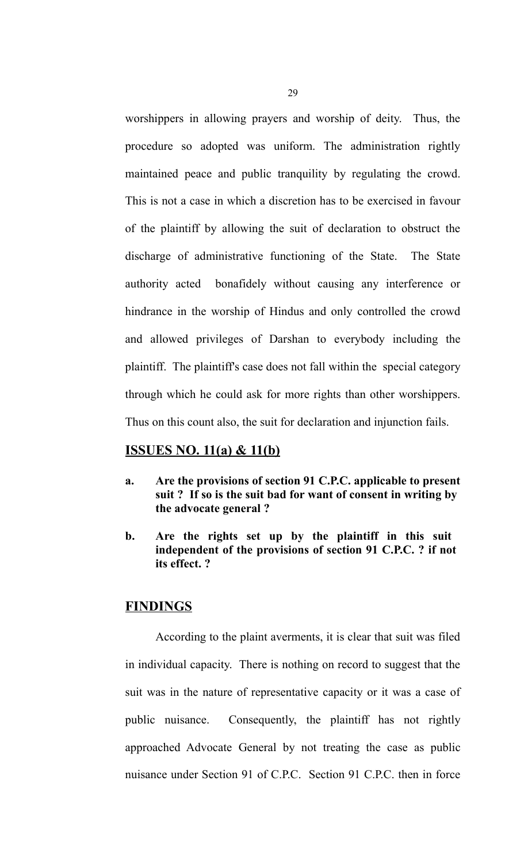worshippers in allowing prayers and worship of deity. Thus, the procedure so adopted was uniform. The administration rightly maintained peace and public tranquility by regulating the crowd. This is not a case in which a discretion has to be exercised in favour of the plaintiff by allowing the suit of declaration to obstruct the discharge of administrative functioning of the State. The State authority acted bonafidely without causing any interference or hindrance in the worship of Hindus and only controlled the crowd and allowed privileges of Darshan to everybody including the plaintiff. The plaintiff's case does not fall within the special category through which he could ask for more rights than other worshippers. Thus on this count also, the suit for declaration and injunction fails.

## **ISSUES NO. 11(a) & 11(b)**

- **a. Are the provisions of section 91 C.P.C. applicable to present suit ? If so is the suit bad for want of consent in writing by the advocate general ?**
- **b. Are the rights set up by the plaintiff in this suit independent of the provisions of section 91 C.P.C. ? if not its effect. ?**

#### **FINDINGS**

According to the plaint averments, it is clear that suit was filed in individual capacity. There is nothing on record to suggest that the suit was in the nature of representative capacity or it was a case of public nuisance. Consequently, the plaintiff has not rightly approached Advocate General by not treating the case as public nuisance under Section 91 of C.P.C. Section 91 C.P.C. then in force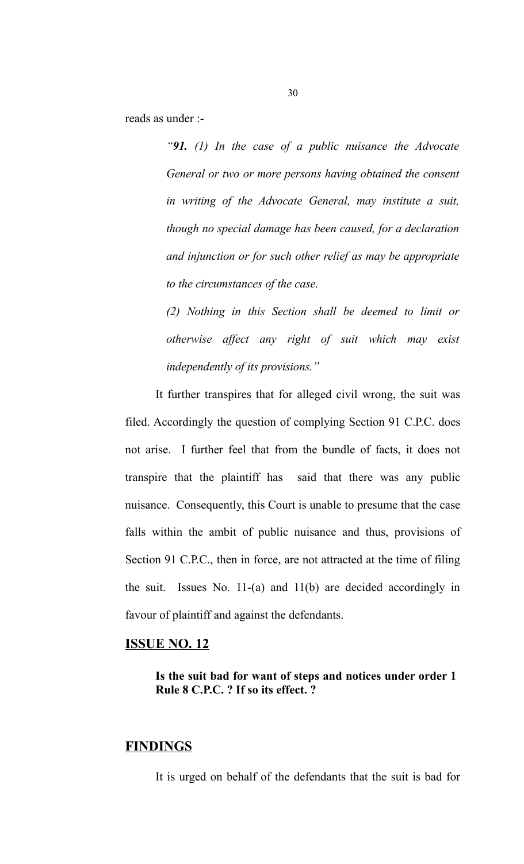reads as under :-

*"91. (1) In the case of a public nuisance the Advocate General or two or more persons having obtained the consent in writing of the Advocate General, may institute a suit, though no special damage has been caused, for a declaration and injunction or for such other relief as may be appropriate to the circumstances of the case.* 

*(2) Nothing in this Section shall be deemed to limit or otherwise affect any right of suit which may exist independently of its provisions."*

It further transpires that for alleged civil wrong, the suit was filed. Accordingly the question of complying Section 91 C.P.C. does not arise. I further feel that from the bundle of facts, it does not transpire that the plaintiff has said that there was any public nuisance. Consequently, this Court is unable to presume that the case falls within the ambit of public nuisance and thus, provisions of Section 91 C.P.C., then in force, are not attracted at the time of filing the suit. Issues No. 11-(a) and 11(b) are decided accordingly in favour of plaintiff and against the defendants.

#### **ISSUE NO. 12**

**Is the suit bad for want of steps and notices under order 1 Rule 8 C.P.C. ? If so its effect. ?**

## **FINDINGS**

It is urged on behalf of the defendants that the suit is bad for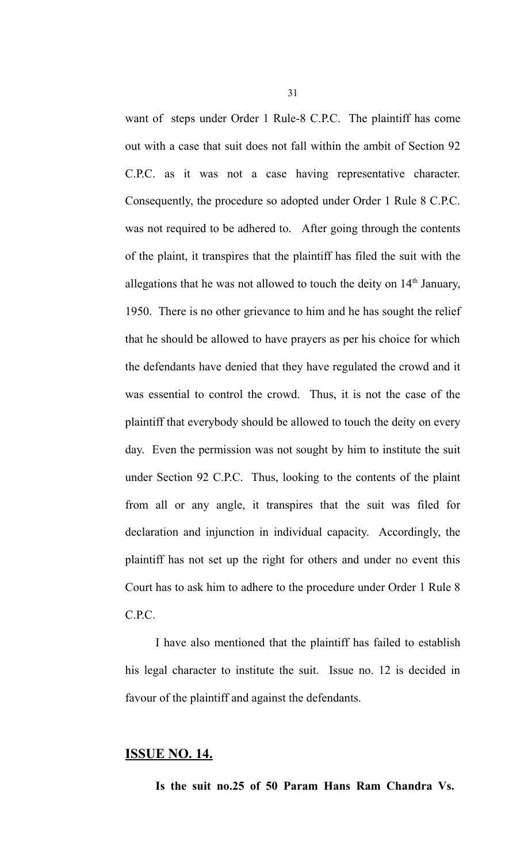want of steps under Order 1 Rule-8 C.P.C. The plaintiff has come out with a case that suit does not fall within the ambit of Section 92 C.P.C. as it was not a case having representative character. Consequently, the procedure so adopted under Order 1 Rule 8 C.P.C. was not required to be adhered to. After going through the contents of the plaint, it transpires that the plaintiff has filed the suit with the allegations that he was not allowed to touch the deity on  $14<sup>th</sup>$  January, 1950. There is no other grievance to him and he has sought the relief that he should be allowed to have prayers as per his choice for which the defendants have denied that they have regulated the crowd and it was essential to control the crowd. Thus, it is not the case of the plaintiff that everybody should be allowed to touch the deity on every day. Even the permission was not sought by him to institute the suit under Section 92 C.P.C. Thus, looking to the contents of the plaint from all or any angle, it transpires that the suit was filed for declaration and injunction in individual capacity. Accordingly, the plaintiff has not set up the right for others and under no event this Court has to ask him to adhere to the procedure under Order 1 Rule 8 C.P.C.

I have also mentioned that the plaintiff has failed to establish his legal character to institute the suit. Issue no. 12 is decided in favour of the plaintiff and against the defendants.

## **ISSUE NO. 14.**

**Is the suit no.25 of 50 Param Hans Ram Chandra Vs.**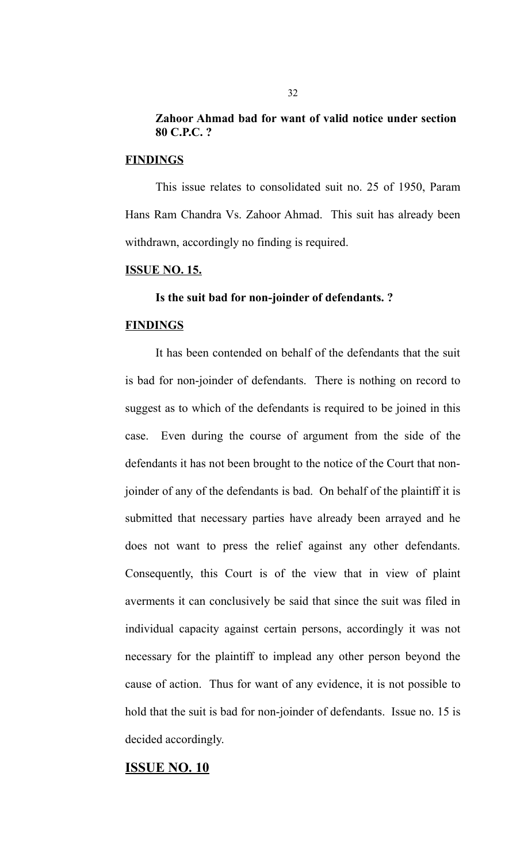## **Zahoor Ahmad bad for want of valid notice under section 80 C.P.C. ?**

#### **FINDINGS**

This issue relates to consolidated suit no. 25 of 1950, Param Hans Ram Chandra Vs. Zahoor Ahmad. This suit has already been withdrawn, accordingly no finding is required.

#### **ISSUE NO. 15.**

## **Is the suit bad for non-joinder of defendants. ?**

#### **FINDINGS**

It has been contended on behalf of the defendants that the suit is bad for non-joinder of defendants. There is nothing on record to suggest as to which of the defendants is required to be joined in this case. Even during the course of argument from the side of the defendants it has not been brought to the notice of the Court that nonjoinder of any of the defendants is bad. On behalf of the plaintiff it is submitted that necessary parties have already been arrayed and he does not want to press the relief against any other defendants. Consequently, this Court is of the view that in view of plaint averments it can conclusively be said that since the suit was filed in individual capacity against certain persons, accordingly it was not necessary for the plaintiff to implead any other person beyond the cause of action. Thus for want of any evidence, it is not possible to hold that the suit is bad for non-joinder of defendants. Issue no. 15 is decided accordingly.

#### **ISSUE NO. 10**